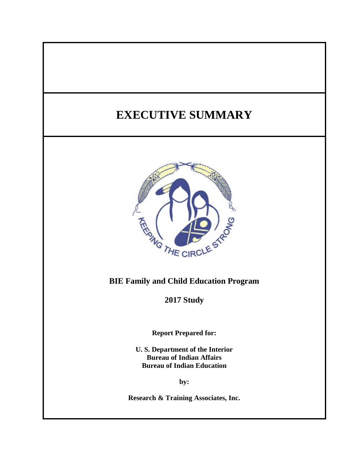# **EXECUTIVE SUMMARY**



# **BIE Family and Child Education Program**

**2017 Study**

**Report Prepared for:**

**U. S. Department of the Interior Bureau of Indian Affairs Bureau of Indian Education**

**by:**

**Research & Training Associates, Inc.**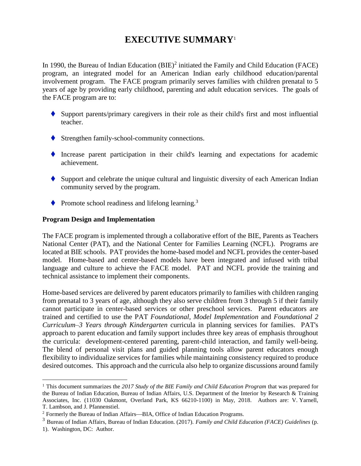# **EXECUTIVE SUMMARY**<sup>1</sup>

In 1990, the Bureau of Indian Education  $(BIE)^2$  initiated the Family and Child Education (FACE) program, an integrated model for an American Indian early childhood education/parental involvement program. The FACE program primarily serves families with children prenatal to 5 years of age by providing early childhood, parenting and adult education services. The goals of the FACE program are to:

- ◆ Support parents/primary caregivers in their role as their child's first and most influential teacher.
- ♦ Strengthen family-school-community connections.
- ⧫ Increase parent participation in their child's learning and expectations for academic achievement.
- ♦ Support and celebrate the unique cultural and linguistic diversity of each American Indian community served by the program.
- $\blacklozenge$  Promote school readiness and lifelong learning.<sup>3</sup>

#### **Program Design and Implementation**

 $\overline{a}$ 

The FACE program is implemented through a collaborative effort of the BIE, Parents as Teachers National Center (PAT), and the National Center for Families Learning (NCFL). Programs are located at BIE schools. PAT provides the home-based model and NCFL provides the center-based model. Home-based and center-based models have been integrated and infused with tribal language and culture to achieve the FACE model. PAT and NCFL provide the training and technical assistance to implement their components.

Home-based services are delivered by parent educators primarily to families with children ranging from prenatal to 3 years of age, although they also serve children from 3 through 5 if their family cannot participate in center-based services or other preschool services. Parent educators are trained and certified to use the PAT *Foundational, Model Implementation* and *Foundational 2 Curriculum–3 Years through Kindergarten* curricula in planning services for families. PAT's approach to parent education and family support includes three key areas of emphasis throughout the curricula: development-centered parenting, parent-child interaction, and family well-being. The blend of personal visit plans and guided planning tools allow parent educators enough flexibility to individualize services for families while maintaining consistency required to produce desired outcomes. This approach and the curricula also help to organize discussions around family

<sup>1</sup> This document summarizes the *2017 Study of the BIE Family and Child Education Program* that was prepared for the Bureau of Indian Education, Bureau of Indian Affairs, U.S. Department of the Interior by Research & Training Associates, Inc. (11030 Oakmont, Overland Park, KS 66210-1100) in May, 2018. Authors are: V. Yarnell, T. Lambson, and J. Pfannenstiel.

<sup>&</sup>lt;sup>2</sup> Formerly the Bureau of Indian Affairs—BIA, Office of Indian Education Programs.

<sup>3</sup> Bureau of Indian Affairs, Bureau of Indian Education. (2017). *Family and Child Education (FACE) Guidelines* (p. 1). Washington, DC: Author.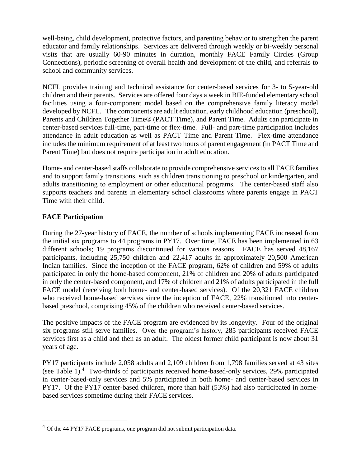well-being, child development, protective factors, and parenting behavior to strengthen the parent educator and family relationships. Services are delivered through weekly or bi-weekly personal visits that are usually 60-90 minutes in duration, monthly FACE Family Circles (Group Connections), periodic screening of overall health and development of the child, and referrals to school and community services.

NCFL provides training and technical assistance for center-based services for 3- to 5-year-old children and their parents. Services are offered four days a week in BIE-funded elementary school facilities using a four-component model based on the comprehensive family literacy model developed by NCFL. The components are adult education, early childhood education (preschool), Parents and Children Together Time® (PACT Time), and Parent Time. Adults can participate in center-based services full-time, part-time or flex-time. Full- and part-time participation includes attendance in adult education as well as PACT Time and Parent Time. Flex-time attendance includes the minimum requirement of at least two hours of parent engagement (in PACT Time and Parent Time) but does not require participation in adult education.

Home- and center-based staffs collaborate to provide comprehensive services to all FACE families and to support family transitions, such as children transitioning to preschool or kindergarten, and adults transitioning to employment or other educational programs. The center-based staff also supports teachers and parents in elementary school classrooms where parents engage in PACT Time with their child.

# **FACE Participation**

 $\overline{a}$ 

During the 27-year history of FACE, the number of schools implementing FACE increased from the initial six programs to 44 programs in PY17. Over time, FACE has been implemented in 63 different schools; 19 programs discontinued for various reasons. FACE has served 48,167 participants, including 25,750 children and 22,417 adults in approximately 20,500 American Indian families. Since the inception of the FACE program, 62% of children and 59% of adults participated in only the home-based component, 21% of children and 20% of adults participated in only the center-based component, and 17% of children and 21% of adults participated in the full FACE model (receiving both home- and center-based services). Of the 20,321 FACE children who received home-based services since the inception of FACE, 22% transitioned into centerbased preschool, comprising 45% of the children who received center-based services.

The positive impacts of the FACE program are evidenced by its longevity. Four of the original six programs still serve families. Over the program's history, 285 participants received FACE services first as a child and then as an adult. The oldest former child participant is now about 31 years of age.

PY17 participants include 2,058 adults and 2,109 children from 1,798 families served at 43 sites (see Table 1).<sup>4</sup> Two-thirds of participants received home-based-only services, 29% participated in center-based-only services and 5% participated in both home- and center-based services in PY17. Of the PY17 center-based children, more than half (53%) had also participated in homebased services sometime during their FACE services.

 $4$  Of the 44 PY17 FACE programs, one program did not submit participation data.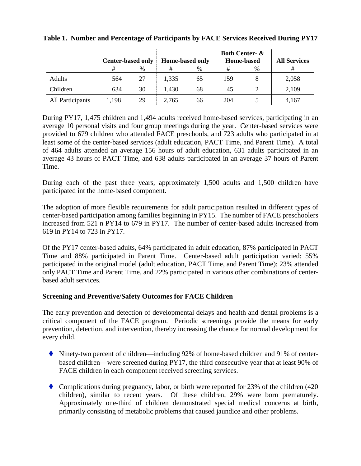|                  | <b>Center-based only</b> |      | <b>Home-based only</b> |      | <b>Both Center- &amp;</b><br><b>Home-based</b> |   | <b>All Services</b> |
|------------------|--------------------------|------|------------------------|------|------------------------------------------------|---|---------------------|
|                  | #                        | $\%$ | #                      | $\%$ | #                                              | % | #                   |
| Adults           | 564                      | 27   | 1,335                  | 65   | 159                                            |   | 2,058               |
| Children         | 634                      | 30   | 1,430                  | 68   | 45                                             |   | 2,109               |
| All Participants | 1,198                    | 29   | 2,765                  | 66   | 204                                            |   | 4,167               |

### **Table 1. Number and Percentage of Participants by FACE Services Received During PY17**

During PY17, 1,475 children and 1,494 adults received home-based services, participating in an average 10 personal visits and four group meetings during the year. Center-based services were provided to 679 children who attended FACE preschools, and 723 adults who participated in at least some of the center-based services (adult education, PACT Time, and Parent Time). A total of 464 adults attended an average 156 hours of adult education, 631 adults participated in an average 43 hours of PACT Time, and 638 adults participated in an average 37 hours of Parent Time.

During each of the past three years, approximately 1,500 adults and 1,500 children have participated int the home-based component.

The adoption of more flexible requirements for adult participation resulted in different types of center-based participation among families beginning in PY15. The number of FACE preschoolers increased from 521 n PY14 to 679 in PY17. The number of center-based adults increased from 619 in PY14 to 723 in PY17.

Of the PY17 center-based adults, 64% participated in adult education, 87% participated in PACT Time and 88% participated in Parent Time. Center-based adult participation varied: 55% participated in the original model (adult education, PACT Time, and Parent Time); 23% attended only PACT Time and Parent Time, and 22% participated in various other combinations of centerbased adult services.

### **Screening and Preventive/Safety Outcomes for FACE Children**

The early prevention and detection of developmental delays and health and dental problems is a critical component of the FACE program. Periodic screenings provide the means for early prevention, detection, and intervention, thereby increasing the chance for normal development for every child.

- $\blacklozenge$  Ninety-two percent of children—including 92% of home-based children and 91% of centerbased children—were screened during PY17, the third consecutive year that at least 90% of FACE children in each component received screening services.
- Complications during pregnancy, labor, or birth were reported for 23% of the children  $(420$ children), similar to recent years. Of these children, 29% were born prematurely. Approximately one-third of children demonstrated special medical concerns at birth, primarily consisting of metabolic problems that caused jaundice and other problems.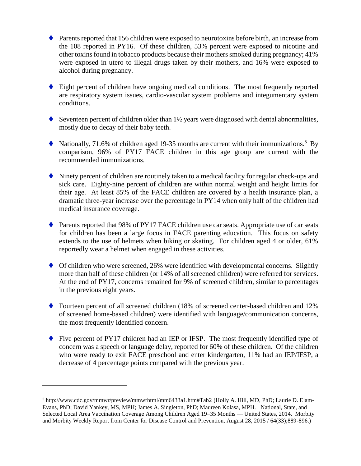- $\blacklozenge$  Parents reported that 156 children were exposed to neurotoxins before birth, an increase from the 108 reported in PY16. Of these children, 53% percent were exposed to nicotine and other toxins found in tobacco products because their mothers smoked during pregnancy; 41% were exposed in utero to illegal drugs taken by their mothers, and 16% were exposed to alcohol during pregnancy.
- ♦ Eight percent of children have ongoing medical conditions. The most frequently reported are respiratory system issues, cardio-vascular system problems and integumentary system conditions.
- Seventeen percent of children older than  $1\frac{1}{2}$  years were diagnosed with dental abnormalities, mostly due to decay of their baby teeth.
- $\blacklozenge$  Nationally, 71.6% of children aged 19-35 months are current with their immunizations.<sup>5</sup> By comparison, 96% of PY17 FACE children in this age group are current with the recommended immunizations.
- ◆ Ninety percent of children are routinely taken to a medical facility for regular check-ups and sick care. Eighty-nine percent of children are within normal weight and height limits for their age. At least 85% of the FACE children are covered by a health insurance plan, a dramatic three-year increase over the percentage in PY14 when only half of the children had medical insurance coverage.
- ◆ Parents reported that 98% of PY17 FACE children use car seats. Appropriate use of car seats for children has been a large focus in FACE parenting education. This focus on safety extends to the use of helmets when biking or skating. For children aged 4 or older, 61% reportedly wear a helmet when engaged in these activities.
- ♦ Of children who were screened, 26% were identified with developmental concerns. Slightly more than half of these children (or 14% of all screened children) were referred for services. At the end of PY17, concerns remained for 9% of screened children, similar to percentages in the previous eight years.
- ◆ Fourteen percent of all screened children (18% of screened center-based children and 12% of screened home-based children) were identified with language/communication concerns, the most frequently identified concern.
- ◆ Five percent of PY17 children had an IEP or IFSP. The most frequently identified type of concern was a speech or language delay, reported for 60% of these children. Of the children who were ready to exit FACE preschool and enter kindergarten, 11% had an IEP/IFSP, a decrease of 4 percentage points compared with the previous year.

<sup>5</sup> [http://www.cdc.gov/mmwr/preview/mmwrhtml/mm6433a1.htm#Tab2](http://www.cdc.gov/mmwr/preview/mmwrhtml/mm6433a1.htm%23Tab2) (Holly A. Hill, MD, PhD; Laurie D. Elam-Evans, PhD; David Yankey, MS, MPH; James A. Singleton, PhD; Maureen Kolasa, MPH. National, State, and Selected Local Area Vaccination Coverage Among Children Aged 19–35 Months — United States, 2014. Morbity and Morbity Weekly Report from Center for Disease Control and Prevention, August 28, 2015 / 64(33);889-896.)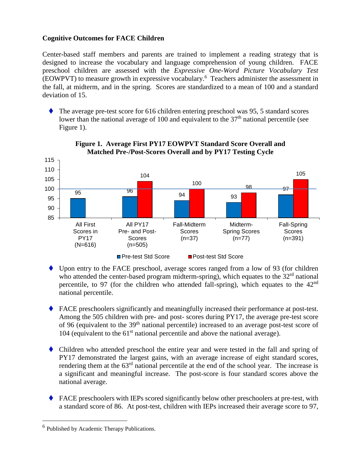## **Cognitive Outcomes for FACE Children**

Center-based staff members and parents are trained to implement a reading strategy that is designed to increase the vocabulary and language comprehension of young children. FACE preschool children are assessed with the *Expressive One-Word Picture Vocabulary Test* (EOWPVT) to measure growth in expressive vocabulary. 6 Teachers administer the assessment in the fall, at midterm, and in the spring. Scores are standardized to a mean of 100 and a standard deviation of 15.

⧫ The average pre-test score for 616 children entering preschool was 95, 5 standard scores lower than the national average of 100 and equivalent to the  $37<sup>th</sup>$  national percentile (see Figure 1).



#### **Figure 1. Average First PY17 EOWPVT Standard Score Overall and Matched Pre-/Post-Scores Overall and by PY17 Testing Cycle**

- ◆ Upon entry to the FACE preschool, average scores ranged from a low of 93 (for children who attended the center-based program midterm-spring), which equates to the  $32<sup>rd</sup>$  national percentile, to 97 (for the children who attended fall-spring), which equates to the  $42<sup>nd</sup>$ national percentile.
- ⧫ FACE preschoolers significantly and meaningfully increased their performance at post-test. Among the 505 children with pre- and post- scores during PY17, the average pre-test score of 96 (equivalent to the 39<sup>th</sup> national percentile) increased to an average post-test score of 104 (equivalent to the  $61<sup>st</sup>$  national percentile and above the national average).
- ◆ Children who attended preschool the entire year and were tested in the fall and spring of PY17 demonstrated the largest gains, with an average increase of eight standard scores, rendering them at the 63<sup>rd</sup> national percentile at the end of the school year. The increase is a significant and meaningful increase. The post-score is four standard scores above the national average.
- ◆ FACE preschoolers with IEPs scored significantly below other preschoolers at pre-test, with a standard score of 86. At post-test, children with IEPs increased their average score to 97,

<sup>&</sup>lt;sup>6</sup> Published by Academic Therapy Publications.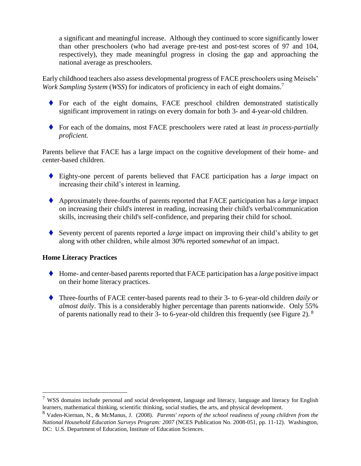a significant and meaningful increase. Although they continued to score significantly lower than other preschoolers (who had average pre-test and post-test scores of 97 and 104, respectively), they made meaningful progress in closing the gap and approaching the national average as preschoolers.

Early childhood teachers also assess developmental progress of FACE preschoolers using Meisels' *Work Sampling System* (*WSS*) for indicators of proficiency in each of eight domains.<sup>7</sup>

- ◆ For each of the eight domains, FACE preschool children demonstrated statistically significant improvement in ratings on every domain for both 3- and 4-year-old children.
- ⧫ For each of the domains, most FACE preschoolers were rated at least *in process-partially proficient.*

Parents believe that FACE has a large impact on the cognitive development of their home- and center-based children.

- ◆ Eighty-one percent of parents believed that FACE participation has a *large* impact on increasing their child's interest in learning.
- ⧫ Approximately three-fourths of parents reported that FACE participation has a *large* impact on increasing their child's interest in reading, increasing their child's verbal/communication skills, increasing their child's self-confidence, and preparing their child for school.
- ⧫ Seventy percent of parents reported a *large* impact on improving their child's ability to get along with other children, while almost 30% reported *somewhat* of an impact.

### **Home Literacy Practices**

- ⧫ Home- and center-based parents reported that FACE participation has a *large* positive impact on their home literacy practices.
- ⧫ Three-fourths of FACE center-based parents read to their 3- to 6-year-old children *daily or almost daily*. This is a considerably higher percentage than parents nationwide. Only 55% of parents nationally read to their 3- to 6-year-old children this frequently (see Figure 2).  $8$

 $7$  WSS domains include personal and social development, language and literacy, language and literacy for English learners, mathematical thinking, scientific thinking, social studies, the arts, and physical development.

<sup>8</sup> Vaden-Kiernan, N., & McManus, J. (2008). *Parents' reports of the school readiness of young children from the National Household Education Surveys Program: 2007* (NCES Publication No. 2008-051, pp. 11-12). Washington, DC: U.S. Department of Education, Institute of Education Sciences.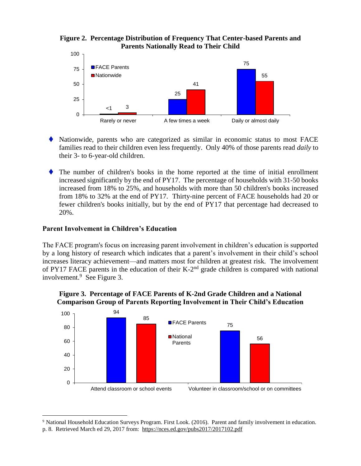



- ⧫ Nationwide, parents who are categorized as similar in economic status to most FACE families read to their children even less frequently. Only 40% of those parents read *daily* to their 3- to 6-year-old children.
- ⧫ The number of children's books in the home reported at the time of initial enrollment increased significantly by the end of PY17. The percentage of households with 31-50 books increased from 18% to 25%, and households with more than 50 children's books increased from 18% to 32% at the end of PY17. Thirty-nine percent of FACE households had 20 or fewer children's books initially, but by the end of PY17 that percentage had decreased to 20%.

#### **Parent Involvement in Children's Education**

 $\overline{a}$ 

The FACE program's focus on increasing parent involvement in children's education is supported by a long history of research which indicates that a parent's involvement in their child's school increases literacy achievement—and matters most for children at greatest risk*.* The involvement of PY17 FACE parents in the education of their K-2<sup>nd</sup> grade children is compared with national involvement. 9 See Figure 3.



#### **Figure 3. Percentage of FACE Parents of K-2nd Grade Children and a National Comparison Group of Parents Reporting Involvement in Their Child's Education**

<sup>9</sup> National Household Education Surveys Program. First Look. (2016). Parent and family involvement in education. p. 8. Retrieved March ed 29, 2017 from: https://nces.ed.gov/pubs2017/2017102.pdf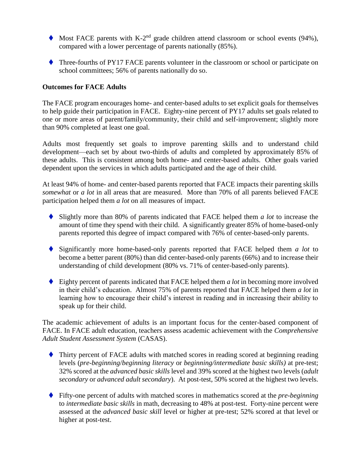- $\blacklozenge$  Most FACE parents with K-2<sup>nd</sup> grade children attend classroom or school events (94%), compared with a lower percentage of parents nationally (85%).
- ◆ Three-fourths of PY17 FACE parents volunteer in the classroom or school or participate on school committees; 56% of parents nationally do so.

#### **Outcomes for FACE Adults**

The FACE program encourages home- and center-based adults to set explicit goals for themselves to help guide their participation in FACE. Eighty-nine percent of PY17 adults set goals related to one or more areas of parent/family/community, their child and self-improvement; slightly more than 90% completed at least one goal.

Adults most frequently set goals to improve parenting skills and to understand child development—each set by about two-thirds of adults and completed by approximately 85% of these adults. This is consistent among both home- and center-based adults. Other goals varied dependent upon the services in which adults participated and the age of their child.

At least 94% of home- and center-based parents reported that FACE impacts their parenting skills *somewhat* or *a lot* in all areas that are measured. More than 70% of all parents believed FACE participation helped them *a lot* on all measures of impact.

- ⧫ Slightly more than 80% of parents indicated that FACE helped them *a lot* to increase the amount of time they spend with their child. A significantly greater 85% of home-based-only parents reported this degree of impact compared with 76% of center-based-only parents.
- ◆ Significantly more home-based-only parents reported that FACE helped them *a lot* to become a better parent (80%) than did center-based-only parents (66%) and to increase their understanding of child development (80% vs. 71% of center-based-only parents).
- ⧫ Eighty percent of parents indicated that FACE helped them *a lot* in becoming more involved in their child's education. Almost 75% of parents reported that FACE helped them *a lot* in learning how to encourage their child's interest in reading and in increasing their ability to speak up for their child.

The academic achievement of adults is an important focus for the center-based component of FACE. In FACE adult education, teachers assess academic achievement with the *Comprehensive Adult Student Assessment System* (CASAS).

- ⧫ Thirty percent of FACE adults with matched scores in reading scored at beginning reading levels (*pre-beginning*/*beginning literacy* or *beginning/intermediate basic skills)* at pre-test; 32% scored at the *advanced basic skills* level and 39% scored at the highest two levels (*adult secondary* or *advanced adult secondary*). At post-test, 50% scored at the highest two levels.
- ⧫ Fifty-one percent of adults with matched scores in mathematics scored at the *pre-beginning* to *intermediate basic skills* in math, decreasing to 48% at post-test. Forty-nine percent were assessed at the *advanced basic skill* level or higher at pre-test; 52% scored at that level or higher at post-test.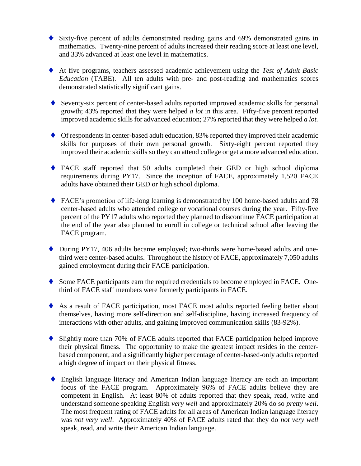- ◆ Sixty-five percent of adults demonstrated reading gains and 69% demonstrated gains in mathematics. Twenty-nine percent of adults increased their reading score at least one level, and 33% advanced at least one level in mathematics.
- ◆ At five programs, teachers assessed academic achievement using the *Test of Adult Basic Education* (TABE). All ten adults with pre- and post-reading and mathematics scores demonstrated statistically significant gains.
- ♦ Seventy-six percent of center-based adults reported improved academic skills for personal growth; 43% reported that they were helped *a lot* in this area*.* Fifty-five percent reported improved academic skills for advanced education; 27% reported that they were helped *a lot.*
- ♦ Of respondents in center-based adult education, 83% reported they improved their academic skills for purposes of their own personal growth. Sixty-eight percent reported they improved their academic skills so they can attend college or get a more advanced education.
- ⧫ FACE staff reported that 50 adults completed their GED or high school diploma requirements during PY17. Since the inception of FACE, approximately 1,520 FACE adults have obtained their GED or high school diploma.
- ◆ FACE's promotion of life-long learning is demonstrated by 100 home-based adults and 78 center-based adults who attended college or vocational courses during the year. Fifty-five percent of the PY17 adults who reported they planned to discontinue FACE participation at the end of the year also planned to enroll in college or technical school after leaving the FACE program.
- ◆ During PY17, 406 adults became employed; two-thirds were home-based adults and onethird were center-based adults. Throughout the history of FACE, approximately 7,050 adults gained employment during their FACE participation.
- ♦ Some FACE participants earn the required credentials to become employed in FACE. Onethird of FACE staff members were formerly participants in FACE.
- ◆ As a result of FACE participation, most FACE most adults reported feeling better about themselves, having more self-direction and self-discipline, having increased frequency of interactions with other adults, and gaining improved communication skills (83-92%).
- ◆ Slightly more than 70% of FACE adults reported that FACE participation helped improve their physical fitness. The opportunity to make the greatest impact resides in the centerbased component, and a significantly higher percentage of center-based-only adults reported a high degree of impact on their physical fitness.
- ◆ English language literacy and American Indian language literacy are each an important focus of the FACE program. Approximately 96% of FACE adults believe they are competent in English. At least 80% of adults reported that they speak, read, write and understand someone speaking English *very well* and approximately 20% do so *pretty well*. The most frequent rating of FACE adults for all areas of American Indian language literacy was *not very well*. Approximately 40% of FACE adults rated that they do *not very well* speak, read, and write their American Indian language.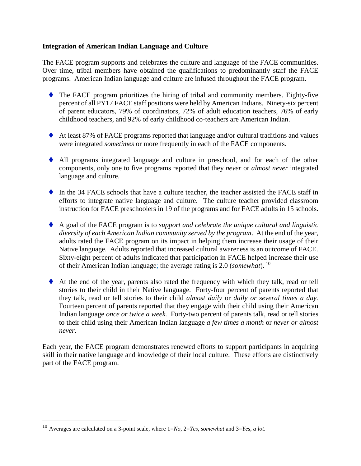#### **Integration of American Indian Language and Culture**

The FACE program supports and celebrates the culture and language of the FACE communities. Over time, tribal members have obtained the qualifications to predominantly staff the FACE programs. American Indian language and culture are infused throughout the FACE program.

- ◆ The FACE program prioritizes the hiring of tribal and community members. Eighty-five percent of all PY17 FACE staff positions were held by American Indians. Ninety-six percent of parent educators, 79% of coordinators, 72% of adult education teachers, 76% of early childhood teachers, and 92% of early childhood co-teachers are American Indian.
- ♦ At least 87% of FACE programs reported that language and/or cultural traditions and values were integrated *sometimes* or more frequently in each of the FACE components.
- ⧫ All programs integrated language and culture in preschool, and for each of the other components, only one to five programs reported that they *never* or *almost never* integrated language and culture.
- $\bullet$  In the 34 FACE schools that have a culture teacher, the teacher assisted the FACE staff in efforts to integrate native language and culture. The culture teacher provided classroom instruction for FACE preschoolers in 19 of the programs and for FACE adults in 15 schools.
- ⧫ A goal of the FACE program is to *support and celebrate the unique cultural and linguistic diversity of each American Indian community served by the program*. At the end of the year, adults rated the FACE program on its impact in helping them increase their usage of their Native language. Adults reported that increased cultural awareness is an outcome of FACE. Sixty-eight percent of adults indicated that participation in FACE helped increase their use of their American Indian language; the average rating is 2.0 (*somewhat*). <sup>10</sup>
- ◆ At the end of the year, parents also rated the frequency with which they talk, read or tell stories to their child in their Native language. Forty-four percent of parents reported that they talk, read or tell stories to their child *almost daily* or *daily or several times a day.*  Fourteen percent of parents reported that they engage with their child using their American Indian language *once or twice a week.* Forty-two percent of parents talk, read or tell stories to their child using their American Indian language *a few times a month* or *never or almost never*.

Each year, the FACE program demonstrates renewed efforts to support participants in acquiring skill in their native language and knowledge of their local culture. These efforts are distinctively part of the FACE program.

<sup>10</sup> Averages are calculated on a 3-point scale, where 1=*No*, 2=*Yes, somewhat* and 3=*Yes, a lot*.